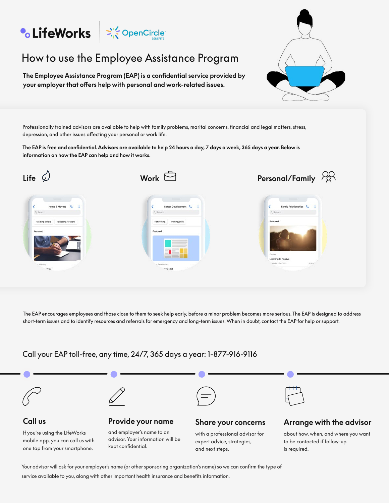# **•CLifeWorks**  $\begin{array}{|c|c|c|}\n\hline\n\end{array}$  **CDEP CONSPORTS**

## How to use the Employee Assistance Program

**The Employee Assistance Program (EAP) is a confidential service provided by your employer that offers help with personal and work-related issues.**

Professionally trained advisors are available to help with family problems, marital concerns, financial and legal matters, stress, depression, and other issues affecting your personal or work life.

**The EAP is free and confidential. Advisors are available to help 24 hours a day, 7 days a week, 365 days a year. Below is information on how the EAP can help and how it works.**



The EAP encourages employees and those close to them to seek help early, before a minor problem becomes more serious. The EAP is designed to address short-term issues and to identify resources and referrals for emergency and long-term issues. When in doubt, contact the EAP for help or support.

#### Call your EAP toll-free, any time, 24/7, 365 days a year: 1-877-916-9116

one tap from your smartphone.



and next steps.

is required.

Your advisor will ask for your employer's name (or other sponsoring organization's name) so we can confirm the type of service available to you, along with other important health insurance and benefits information.